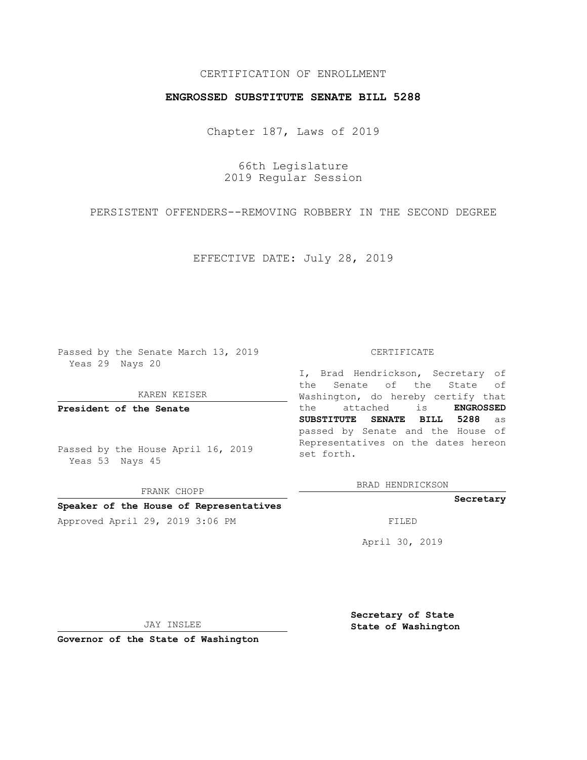# CERTIFICATION OF ENROLLMENT

## **ENGROSSED SUBSTITUTE SENATE BILL 5288**

Chapter 187, Laws of 2019

66th Legislature 2019 Regular Session

PERSISTENT OFFENDERS--REMOVING ROBBERY IN THE SECOND DEGREE

EFFECTIVE DATE: July 28, 2019

Passed by the Senate March 13, 2019 Yeas 29 Nays 20

KAREN KEISER

**President of the Senate**

Passed by the House April 16, 2019 Yeas 53 Nays 45

FRANK CHOPP

### **Speaker of the House of Representatives**

Approved April 29, 2019 3:06 PM FILED

#### CERTIFICATE

I, Brad Hendrickson, Secretary of the Senate of the State of Washington, do hereby certify that the attached is **ENGROSSED SUBSTITUTE SENATE BILL 5288** as passed by Senate and the House of Representatives on the dates hereon set forth.

BRAD HENDRICKSON

**Secretary**

April 30, 2019

JAY INSLEE

**Governor of the State of Washington**

**Secretary of State State of Washington**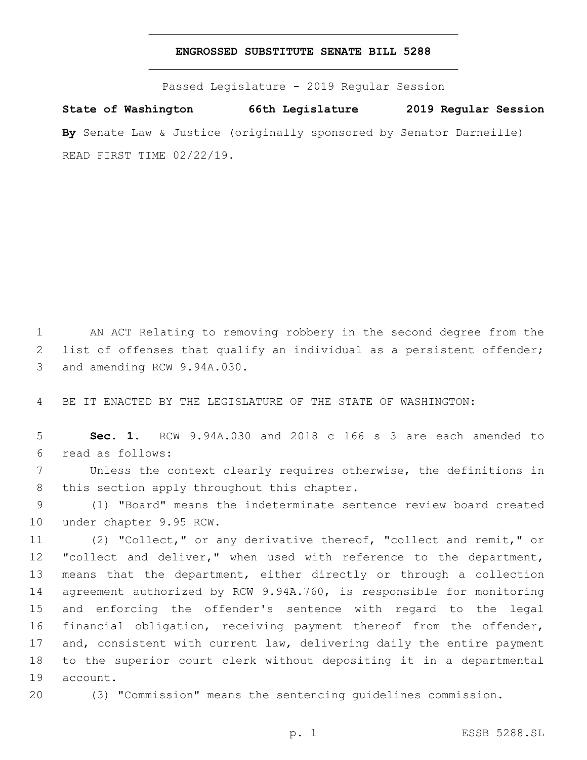### **ENGROSSED SUBSTITUTE SENATE BILL 5288**

Passed Legislature - 2019 Regular Session

**State of Washington 66th Legislature 2019 Regular Session By** Senate Law & Justice (originally sponsored by Senator Darneille) READ FIRST TIME 02/22/19.

1 AN ACT Relating to removing robbery in the second degree from the 2 list of offenses that qualify an individual as a persistent offender; 3 and amending RCW 9.94A.030.

4 BE IT ENACTED BY THE LEGISLATURE OF THE STATE OF WASHINGTON:

5 **Sec. 1.** RCW 9.94A.030 and 2018 c 166 s 3 are each amended to read as follows:6

7 Unless the context clearly requires otherwise, the definitions in 8 this section apply throughout this chapter.

9 (1) "Board" means the indeterminate sentence review board created 10 under chapter 9.95 RCW.

 (2) "Collect," or any derivative thereof, "collect and remit," or 12 "collect and deliver," when used with reference to the department, means that the department, either directly or through a collection agreement authorized by RCW 9.94A.760, is responsible for monitoring and enforcing the offender's sentence with regard to the legal financial obligation, receiving payment thereof from the offender, 17 and, consistent with current law, delivering daily the entire payment to the superior court clerk without depositing it in a departmental 19 account.

20 (3) "Commission" means the sentencing guidelines commission.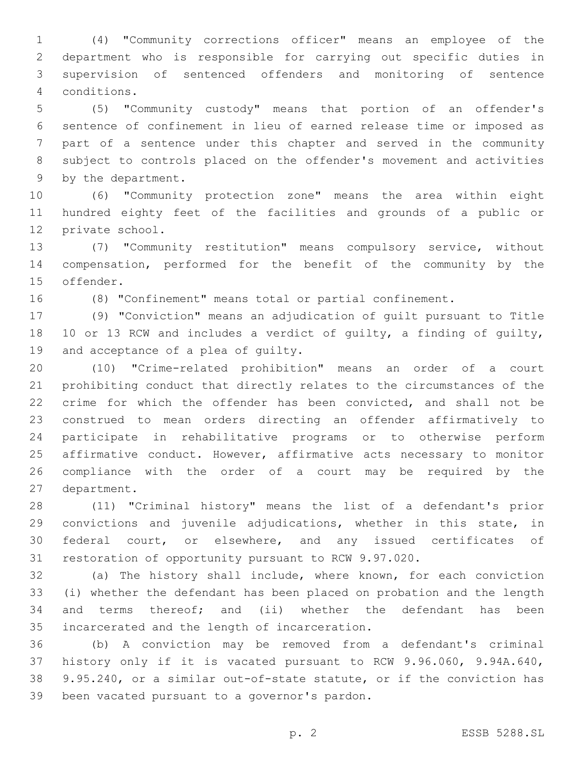(4) "Community corrections officer" means an employee of the department who is responsible for carrying out specific duties in supervision of sentenced offenders and monitoring of sentence conditions.4

 (5) "Community custody" means that portion of an offender's sentence of confinement in lieu of earned release time or imposed as part of a sentence under this chapter and served in the community subject to controls placed on the offender's movement and activities 9 by the department.

 (6) "Community protection zone" means the area within eight hundred eighty feet of the facilities and grounds of a public or 12 private school.

 (7) "Community restitution" means compulsory service, without compensation, performed for the benefit of the community by the 15 offender.

(8) "Confinement" means total or partial confinement.

 (9) "Conviction" means an adjudication of guilt pursuant to Title 10 or 13 RCW and includes a verdict of guilty, a finding of guilty, 19 and acceptance of a plea of guilty.

 (10) "Crime-related prohibition" means an order of a court prohibiting conduct that directly relates to the circumstances of the crime for which the offender has been convicted, and shall not be construed to mean orders directing an offender affirmatively to participate in rehabilitative programs or to otherwise perform affirmative conduct. However, affirmative acts necessary to monitor compliance with the order of a court may be required by the 27 department.

 (11) "Criminal history" means the list of a defendant's prior convictions and juvenile adjudications, whether in this state, in federal court, or elsewhere, and any issued certificates of restoration of opportunity pursuant to RCW 9.97.020.

 (a) The history shall include, where known, for each conviction (i) whether the defendant has been placed on probation and the length and terms thereof; and (ii) whether the defendant has been 35 incarcerated and the length of incarceration.

 (b) A conviction may be removed from a defendant's criminal history only if it is vacated pursuant to RCW 9.96.060, 9.94A.640, 9.95.240, or a similar out-of-state statute, or if the conviction has 39 been vacated pursuant to a governor's pardon.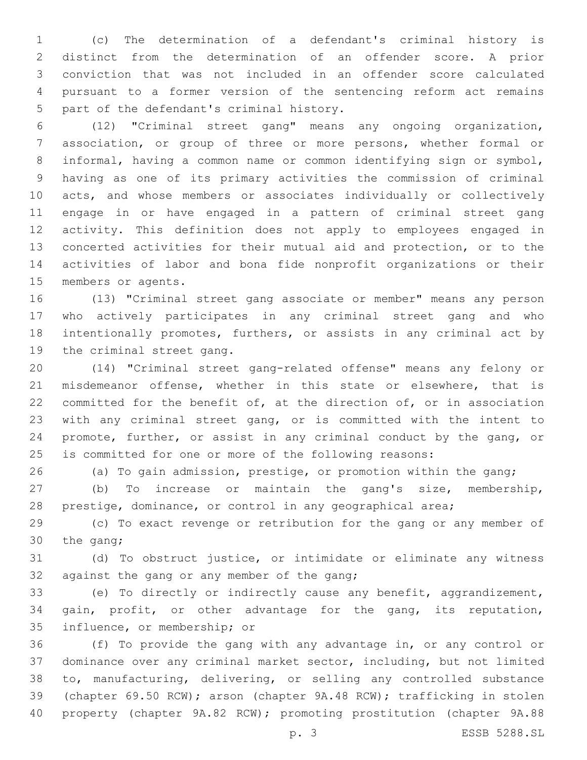(c) The determination of a defendant's criminal history is distinct from the determination of an offender score. A prior conviction that was not included in an offender score calculated pursuant to a former version of the sentencing reform act remains 5 part of the defendant's criminal history.

 (12) "Criminal street gang" means any ongoing organization, association, or group of three or more persons, whether formal or informal, having a common name or common identifying sign or symbol, having as one of its primary activities the commission of criminal acts, and whose members or associates individually or collectively engage in or have engaged in a pattern of criminal street gang activity. This definition does not apply to employees engaged in concerted activities for their mutual aid and protection, or to the activities of labor and bona fide nonprofit organizations or their 15 members or agents.

 (13) "Criminal street gang associate or member" means any person who actively participates in any criminal street gang and who intentionally promotes, furthers, or assists in any criminal act by 19 the criminal street gang.

 (14) "Criminal street gang-related offense" means any felony or misdemeanor offense, whether in this state or elsewhere, that is committed for the benefit of, at the direction of, or in association with any criminal street gang, or is committed with the intent to promote, further, or assist in any criminal conduct by the gang, or is committed for one or more of the following reasons:

(a) To gain admission, prestige, or promotion within the gang;

 (b) To increase or maintain the gang's size, membership, prestige, dominance, or control in any geographical area;

 (c) To exact revenge or retribution for the gang or any member of 30 the gang;

 (d) To obstruct justice, or intimidate or eliminate any witness 32 against the gang or any member of the gang;

 (e) To directly or indirectly cause any benefit, aggrandizement, gain, profit, or other advantage for the gang, its reputation, 35 influence, or membership; or

 (f) To provide the gang with any advantage in, or any control or dominance over any criminal market sector, including, but not limited to, manufacturing, delivering, or selling any controlled substance (chapter 69.50 RCW); arson (chapter 9A.48 RCW); trafficking in stolen property (chapter 9A.82 RCW); promoting prostitution (chapter 9A.88

p. 3 ESSB 5288.SL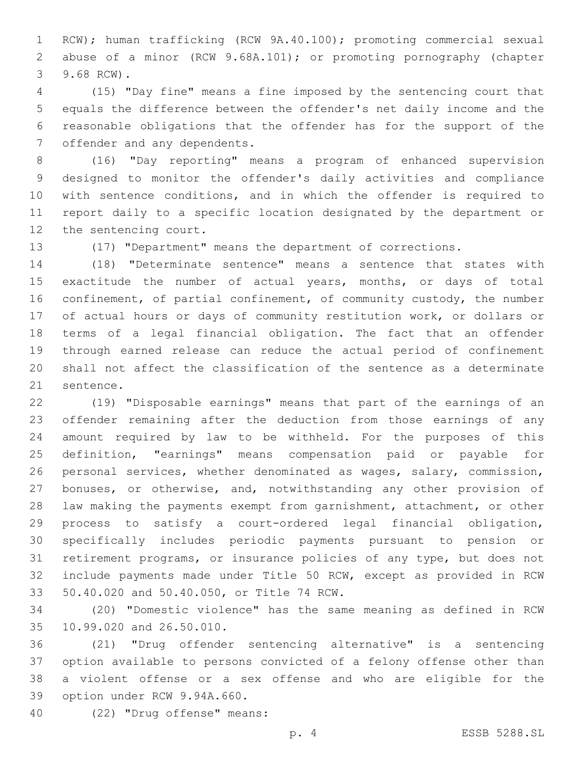RCW); human trafficking (RCW 9A.40.100); promoting commercial sexual abuse of a minor (RCW 9.68A.101); or promoting pornography (chapter 3 9.68 RCW).

 (15) "Day fine" means a fine imposed by the sentencing court that equals the difference between the offender's net daily income and the reasonable obligations that the offender has for the support of the 7 offender and any dependents.

 (16) "Day reporting" means a program of enhanced supervision designed to monitor the offender's daily activities and compliance with sentence conditions, and in which the offender is required to report daily to a specific location designated by the department or 12 the sentencing court.

(17) "Department" means the department of corrections.

 (18) "Determinate sentence" means a sentence that states with exactitude the number of actual years, months, or days of total 16 confinement, of partial confinement, of community custody, the number of actual hours or days of community restitution work, or dollars or terms of a legal financial obligation. The fact that an offender through earned release can reduce the actual period of confinement shall not affect the classification of the sentence as a determinate 21 sentence.

 (19) "Disposable earnings" means that part of the earnings of an offender remaining after the deduction from those earnings of any amount required by law to be withheld. For the purposes of this definition, "earnings" means compensation paid or payable for personal services, whether denominated as wages, salary, commission, bonuses, or otherwise, and, notwithstanding any other provision of law making the payments exempt from garnishment, attachment, or other process to satisfy a court-ordered legal financial obligation, specifically includes periodic payments pursuant to pension or retirement programs, or insurance policies of any type, but does not include payments made under Title 50 RCW, except as provided in RCW 33 50.40.020 and 50.40.050, or Title 74 RCW.

 (20) "Domestic violence" has the same meaning as defined in RCW 35 10.99.020 and 26.50.010.

 (21) "Drug offender sentencing alternative" is a sentencing option available to persons convicted of a felony offense other than a violent offense or a sex offense and who are eligible for the 39 option under RCW 9.94A.660.

(22) "Drug offense" means:40

p. 4 ESSB 5288.SL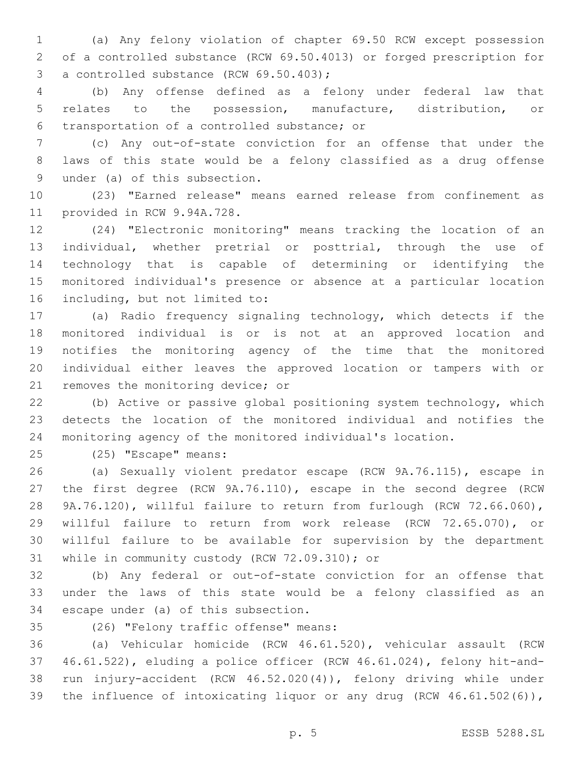(a) Any felony violation of chapter 69.50 RCW except possession of a controlled substance (RCW 69.50.4013) or forged prescription for 3 a controlled substance (RCW 69.50.403);

 (b) Any offense defined as a felony under federal law that relates to the possession, manufacture, distribution, or transportation of a controlled substance; or6

 (c) Any out-of-state conviction for an offense that under the laws of this state would be a felony classified as a drug offense 9 under (a) of this subsection.

 (23) "Earned release" means earned release from confinement as 11 provided in RCW 9.94A.728.

 (24) "Electronic monitoring" means tracking the location of an individual, whether pretrial or posttrial, through the use of technology that is capable of determining or identifying the monitored individual's presence or absence at a particular location 16 including, but not limited to:

 (a) Radio frequency signaling technology, which detects if the monitored individual is or is not at an approved location and notifies the monitoring agency of the time that the monitored individual either leaves the approved location or tampers with or 21 removes the monitoring device; or

 (b) Active or passive global positioning system technology, which detects the location of the monitored individual and notifies the monitoring agency of the monitored individual's location.

25 (25) "Escape" means:

 (a) Sexually violent predator escape (RCW 9A.76.115), escape in the first degree (RCW 9A.76.110), escape in the second degree (RCW 9A.76.120), willful failure to return from furlough (RCW 72.66.060), willful failure to return from work release (RCW 72.65.070), or willful failure to be available for supervision by the department 31 while in community custody (RCW 72.09.310); or

 (b) Any federal or out-of-state conviction for an offense that under the laws of this state would be a felony classified as an 34 escape under (a) of this subsection.

(26) "Felony traffic offense" means:35

 (a) Vehicular homicide (RCW 46.61.520), vehicular assault (RCW 46.61.522), eluding a police officer (RCW 46.61.024), felony hit-and- run injury-accident (RCW 46.52.020(4)), felony driving while under the influence of intoxicating liquor or any drug (RCW 46.61.502(6)),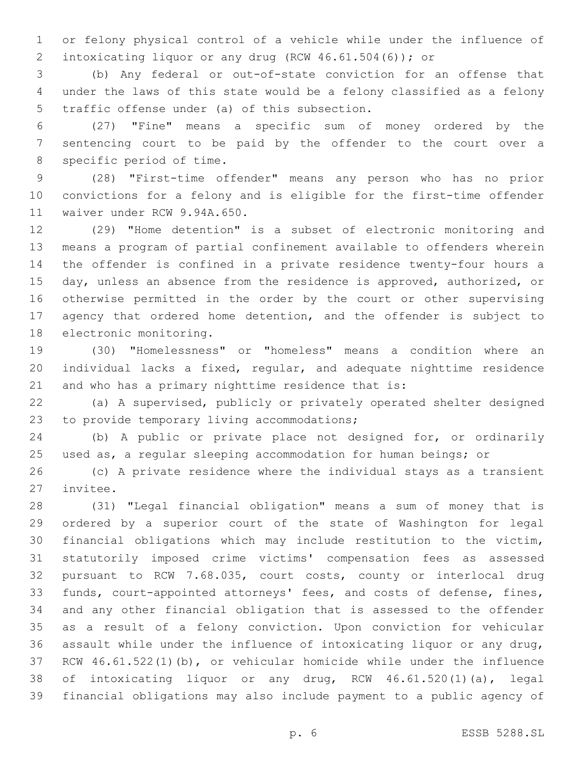or felony physical control of a vehicle while under the influence of intoxicating liquor or any drug (RCW 46.61.504(6)); or

 (b) Any federal or out-of-state conviction for an offense that under the laws of this state would be a felony classified as a felony 5 traffic offense under (a) of this subsection.

 (27) "Fine" means a specific sum of money ordered by the sentencing court to be paid by the offender to the court over a 8 specific period of time.

 (28) "First-time offender" means any person who has no prior convictions for a felony and is eligible for the first-time offender 11 waiver under RCW 9.94A.650.

 (29) "Home detention" is a subset of electronic monitoring and means a program of partial confinement available to offenders wherein the offender is confined in a private residence twenty-four hours a day, unless an absence from the residence is approved, authorized, or otherwise permitted in the order by the court or other supervising agency that ordered home detention, and the offender is subject to 18 electronic monitoring.

 (30) "Homelessness" or "homeless" means a condition where an individual lacks a fixed, regular, and adequate nighttime residence and who has a primary nighttime residence that is:

 (a) A supervised, publicly or privately operated shelter designed 23 to provide temporary living accommodations;

 (b) A public or private place not designed for, or ordinarily used as, a regular sleeping accommodation for human beings; or

 (c) A private residence where the individual stays as a transient 27 invitee.

 (31) "Legal financial obligation" means a sum of money that is ordered by a superior court of the state of Washington for legal financial obligations which may include restitution to the victim, statutorily imposed crime victims' compensation fees as assessed pursuant to RCW 7.68.035, court costs, county or interlocal drug funds, court-appointed attorneys' fees, and costs of defense, fines, and any other financial obligation that is assessed to the offender as a result of a felony conviction. Upon conviction for vehicular assault while under the influence of intoxicating liquor or any drug, RCW 46.61.522(1)(b), or vehicular homicide while under the influence of intoxicating liquor or any drug, RCW 46.61.520(1)(a), legal financial obligations may also include payment to a public agency of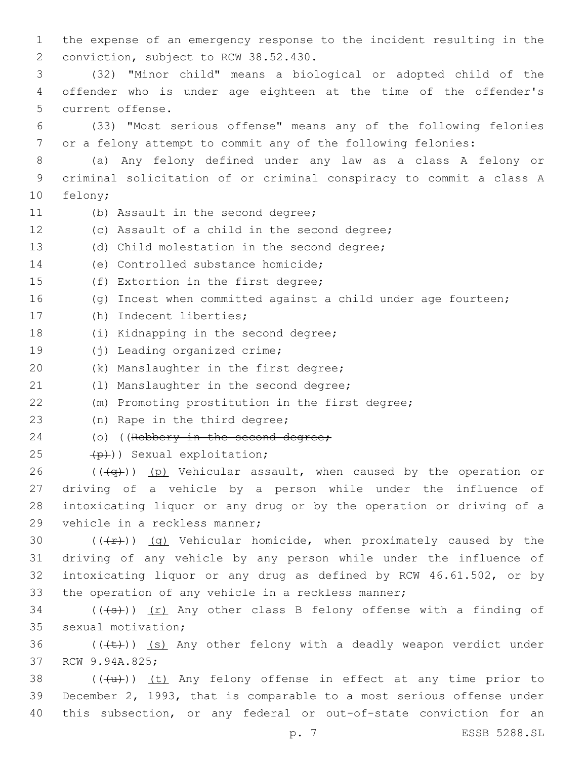1 the expense of an emergency response to the incident resulting in the 2 conviction, subject to RCW 38.52.430. 3 (32) "Minor child" means a biological or adopted child of the 4 offender who is under age eighteen at the time of the offender's 5 current offense. 6 (33) "Most serious offense" means any of the following felonies 7 or a felony attempt to commit any of the following felonies: 8 (a) Any felony defined under any law as a class A felony or 9 criminal solicitation of or criminal conspiracy to commit a class A 10 felony; 11 (b) Assault in the second degree; 12 (c) Assault of a child in the second degree; 13 (d) Child molestation in the second degree; 14 (e) Controlled substance homicide; 15 (f) Extortion in the first degree; 16 (g) Incest when committed against a child under age fourteen; 17 (h) Indecent liberties; 18 (i) Kidnapping in the second degree; 19 (j) Leading organized crime; 20 (k) Manslaughter in the first degree; 21 (1) Manslaughter in the second degree; 22 (m) Promoting prostitution in the first degree; 23 (n) Rape in the third degree; 24 (o) ((Robbery in the second degree; 25 (p)) Sexual exploitation; 26 ( $(\overline{+q})$ ) (p) Vehicular assault, when caused by the operation or 27 driving of a vehicle by a person while under the influence of 28 intoxicating liquor or any drug or by the operation or driving of a 29 vehicle in a reckless manner; 30  $((+r))$  (q) Vehicular homicide, when proximately caused by the 31 driving of any vehicle by any person while under the influence of 32 intoxicating liquor or any drug as defined by RCW 46.61.502, or by 33 the operation of any vehicle in a reckless manner;  $34$  (((s))) (r) Any other class B felony offense with a finding of 35 sexual motivation; 36  $((\text{(+t)}))$  (s) Any other felony with a deadly weapon verdict under 37 RCW 9.94A.825; 38  $((+u))$  (t) Any felony offense in effect at any time prior to 39 December 2, 1993, that is comparable to a most serious offense under 40 this subsection, or any federal or out-of-state conviction for an

p. 7 ESSB 5288.SL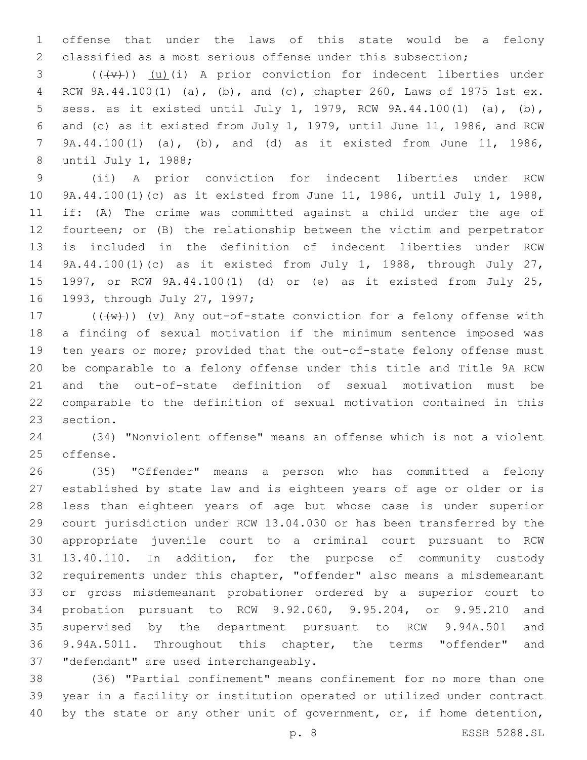offense that under the laws of this state would be a felony classified as a most serious offense under this subsection;

3 (((+v))) (u)(i) A prior conviction for indecent liberties under RCW 9A.44.100(1) (a), (b), and (c), chapter 260, Laws of 1975 1st ex. sess. as it existed until July 1, 1979, RCW 9A.44.100(1) (a), (b), and (c) as it existed from July 1, 1979, until June 11, 1986, and RCW 9A.44.100(1) (a), (b), and (d) as it existed from June 11, 1986, 8 until July 1, 1988;

 (ii) A prior conviction for indecent liberties under RCW 9A.44.100(1)(c) as it existed from June 11, 1986, until July 1, 1988, if: (A) The crime was committed against a child under the age of fourteen; or (B) the relationship between the victim and perpetrator is included in the definition of indecent liberties under RCW 9A.44.100(1)(c) as it existed from July 1, 1988, through July 27, 1997, or RCW 9A.44.100(1) (d) or (e) as it existed from July 25, 16 1993, through July 27, 1997;

 $((\lbrace w \rbrace))$   $(v)$  Any out-of-state conviction for a felony offense with a finding of sexual motivation if the minimum sentence imposed was ten years or more; provided that the out-of-state felony offense must be comparable to a felony offense under this title and Title 9A RCW and the out-of-state definition of sexual motivation must be comparable to the definition of sexual motivation contained in this 23 section.

 (34) "Nonviolent offense" means an offense which is not a violent 25 offense.

 (35) "Offender" means a person who has committed a felony established by state law and is eighteen years of age or older or is less than eighteen years of age but whose case is under superior court jurisdiction under RCW 13.04.030 or has been transferred by the appropriate juvenile court to a criminal court pursuant to RCW 13.40.110. In addition, for the purpose of community custody requirements under this chapter, "offender" also means a misdemeanant or gross misdemeanant probationer ordered by a superior court to probation pursuant to RCW 9.92.060, 9.95.204, or 9.95.210 and supervised by the department pursuant to RCW 9.94A.501 and 9.94A.5011. Throughout this chapter, the terms "offender" and 37 "defendant" are used interchangeably.

 (36) "Partial confinement" means confinement for no more than one year in a facility or institution operated or utilized under contract 40 by the state or any other unit of government, or, if home detention,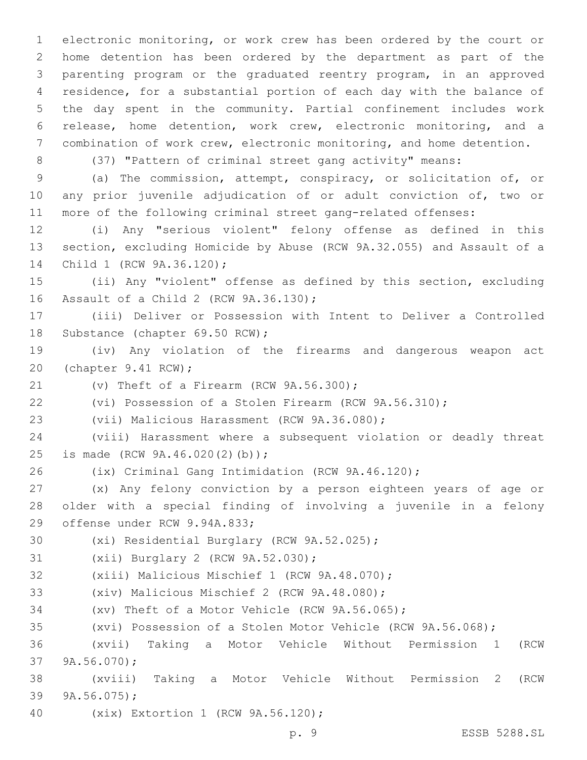electronic monitoring, or work crew has been ordered by the court or home detention has been ordered by the department as part of the parenting program or the graduated reentry program, in an approved residence, for a substantial portion of each day with the balance of the day spent in the community. Partial confinement includes work release, home detention, work crew, electronic monitoring, and a combination of work crew, electronic monitoring, and home detention.

(37) "Pattern of criminal street gang activity" means:

 (a) The commission, attempt, conspiracy, or solicitation of, or any prior juvenile adjudication of or adult conviction of, two or more of the following criminal street gang-related offenses:

 (i) Any "serious violent" felony offense as defined in this section, excluding Homicide by Abuse (RCW 9A.32.055) and Assault of a 14 Child 1 (RCW 9A.36.120);

 (ii) Any "violent" offense as defined by this section, excluding 16 Assault of a Child 2 (RCW 9A.36.130);

 (iii) Deliver or Possession with Intent to Deliver a Controlled 18 Substance (chapter 69.50 RCW);

 (iv) Any violation of the firearms and dangerous weapon act 20 (chapter 9.41 RCW);

21  $(v)$  Theft of a Firearm (RCW  $9A.56.300$ );

(vi) Possession of a Stolen Firearm (RCW 9A.56.310);

23 (vii) Malicious Harassment (RCW 9A.36.080);

 (viii) Harassment where a subsequent violation or deadly threat 25 is made (RCW 9A.46.020(2)(b));

(ix) Criminal Gang Intimidation (RCW 9A.46.120);

 (x) Any felony conviction by a person eighteen years of age or older with a special finding of involving a juvenile in a felony 29 offense under RCW 9.94A.833;

30 (xi) Residential Burglary (RCW 9A.52.025);

```
31 (xii) Burglary 2 (RCW 9A.52.030);
```
32 (xiii) Malicious Mischief 1 (RCW 9A.48.070);

33 (xiv) Malicious Mischief 2 (RCW 9A.48.080);

(xv) Theft of a Motor Vehicle (RCW 9A.56.065);

(xvi) Possession of a Stolen Motor Vehicle (RCW 9A.56.068);

 (xvii) Taking a Motor Vehicle Without Permission 1 (RCW 37 9A.56.070);

 (xviii) Taking a Motor Vehicle Without Permission 2 (RCW 39  $9A.56.075$ ;

40 (xix) Extortion 1 (RCW 9A.56.120);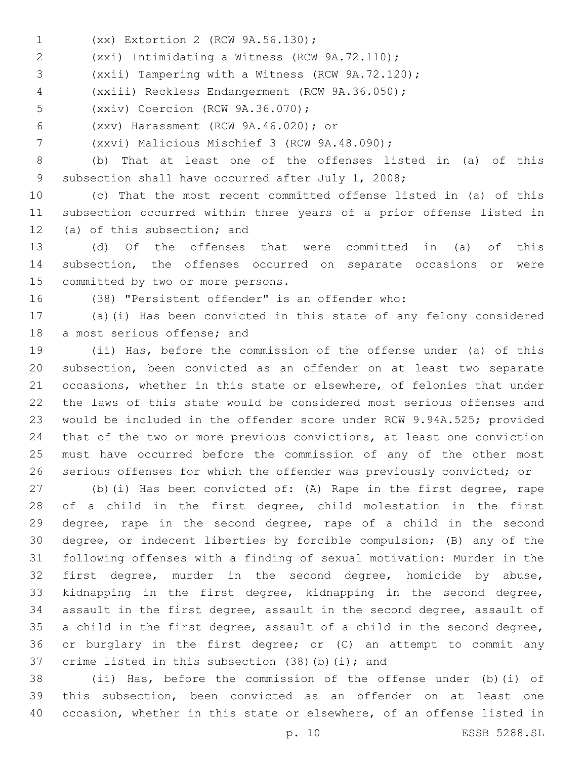- (xx) Extortion 2 (RCW 9A.56.130);1
- (xxi) Intimidating a Witness (RCW 9A.72.110);2

(xxii) Tampering with a Witness (RCW 9A.72.120);

- (xxiii) Reckless Endangerment (RCW 9A.36.050);4
- 5 (xxiv) Coercion (RCW 9A.36.070);
- (xxv) Harassment (RCW 9A.46.020); or6
- (xxvi) Malicious Mischief 3 (RCW 9A.48.090);7

 (b) That at least one of the offenses listed in (a) of this 9 subsection shall have occurred after July 1, 2008;

 (c) That the most recent committed offense listed in (a) of this subsection occurred within three years of a prior offense listed in 12 (a) of this subsection; and

 (d) Of the offenses that were committed in (a) of this subsection, the offenses occurred on separate occasions or were 15 committed by two or more persons.

(38) "Persistent offender" is an offender who:

 (a)(i) Has been convicted in this state of any felony considered 18 a most serious offense; and

 (ii) Has, before the commission of the offense under (a) of this subsection, been convicted as an offender on at least two separate occasions, whether in this state or elsewhere, of felonies that under the laws of this state would be considered most serious offenses and would be included in the offender score under RCW 9.94A.525; provided that of the two or more previous convictions, at least one conviction must have occurred before the commission of any of the other most serious offenses for which the offender was previously convicted; or

 (b)(i) Has been convicted of: (A) Rape in the first degree, rape of a child in the first degree, child molestation in the first degree, rape in the second degree, rape of a child in the second degree, or indecent liberties by forcible compulsion; (B) any of the following offenses with a finding of sexual motivation: Murder in the first degree, murder in the second degree, homicide by abuse, kidnapping in the first degree, kidnapping in the second degree, assault in the first degree, assault in the second degree, assault of a child in the first degree, assault of a child in the second degree, or burglary in the first degree; or (C) an attempt to commit any 37 crime listed in this subsection  $(38)(b)(i)$ ; and

 (ii) Has, before the commission of the offense under (b)(i) of this subsection, been convicted as an offender on at least one occasion, whether in this state or elsewhere, of an offense listed in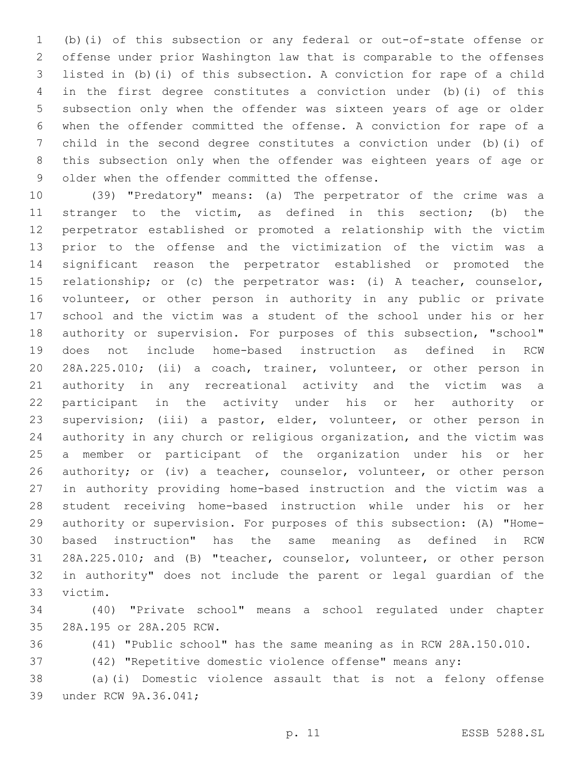(b)(i) of this subsection or any federal or out-of-state offense or offense under prior Washington law that is comparable to the offenses listed in (b)(i) of this subsection. A conviction for rape of a child in the first degree constitutes a conviction under (b)(i) of this subsection only when the offender was sixteen years of age or older when the offender committed the offense. A conviction for rape of a child in the second degree constitutes a conviction under (b)(i) of this subsection only when the offender was eighteen years of age or 9 older when the offender committed the offense.

 (39) "Predatory" means: (a) The perpetrator of the crime was a stranger to the victim, as defined in this section; (b) the perpetrator established or promoted a relationship with the victim prior to the offense and the victimization of the victim was a significant reason the perpetrator established or promoted the relationship; or (c) the perpetrator was: (i) A teacher, counselor, volunteer, or other person in authority in any public or private school and the victim was a student of the school under his or her authority or supervision. For purposes of this subsection, "school" does not include home-based instruction as defined in RCW 28A.225.010; (ii) a coach, trainer, volunteer, or other person in authority in any recreational activity and the victim was a participant in the activity under his or her authority or supervision; (iii) a pastor, elder, volunteer, or other person in authority in any church or religious organization, and the victim was a member or participant of the organization under his or her 26 authority; or (iv) a teacher, counselor, volunteer, or other person in authority providing home-based instruction and the victim was a student receiving home-based instruction while under his or her authority or supervision. For purposes of this subsection: (A) "Home- based instruction" has the same meaning as defined in RCW 28A.225.010; and (B) "teacher, counselor, volunteer, or other person in authority" does not include the parent or legal guardian of the 33 victim.

 (40) "Private school" means a school regulated under chapter 28A.195 or 28A.205 RCW.35

(41) "Public school" has the same meaning as in RCW 28A.150.010.

(42) "Repetitive domestic violence offense" means any:

 (a)(i) Domestic violence assault that is not a felony offense 39 under RCW 9A.36.041;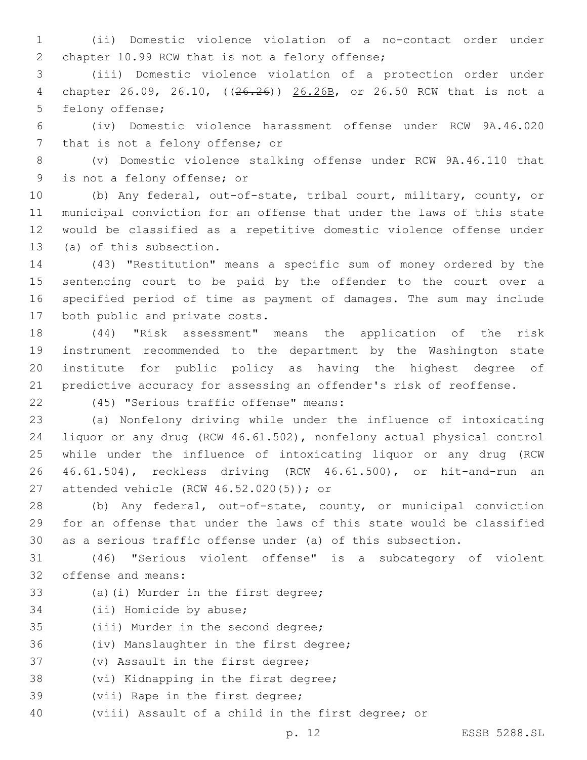1 (ii) Domestic violence violation of a no-contact order under 2 chapter 10.99 RCW that is not a felony offense;

3 (iii) Domestic violence violation of a protection order under 4 chapter 26.09, 26.10, ((26.26)) 26.26B, or 26.50 RCW that is not a 5 felony offense;

6 (iv) Domestic violence harassment offense under RCW 9A.46.020 7 that is not a felony offense; or

8 (v) Domestic violence stalking offense under RCW 9A.46.110 that 9 is not a felony offense; or

 (b) Any federal, out-of-state, tribal court, military, county, or municipal conviction for an offense that under the laws of this state would be classified as a repetitive domestic violence offense under 13 (a) of this subsection.

 (43) "Restitution" means a specific sum of money ordered by the sentencing court to be paid by the offender to the court over a specified period of time as payment of damages. The sum may include 17 both public and private costs.

 (44) "Risk assessment" means the application of the risk instrument recommended to the department by the Washington state institute for public policy as having the highest degree of predictive accuracy for assessing an offender's risk of reoffense.

(45) "Serious traffic offense" means:22

 (a) Nonfelony driving while under the influence of intoxicating liquor or any drug (RCW 46.61.502), nonfelony actual physical control while under the influence of intoxicating liquor or any drug (RCW 46.61.504), reckless driving (RCW 46.61.500), or hit-and-run an 27 attended vehicle (RCW 46.52.020(5)); or

28 (b) Any federal, out-of-state, county, or municipal conviction 29 for an offense that under the laws of this state would be classified 30 as a serious traffic offense under (a) of this subsection.

31 (46) "Serious violent offense" is a subcategory of violent 32 offense and means:

- 33 (a)(i) Murder in the first degree;
- 34 (ii) Homicide by abuse;
- 35 (iii) Murder in the second degree;

36 (iv) Manslaughter in the first degree;

37 (v) Assault in the first degree;

38 (vi) Kidnapping in the first degree;

- 39 (vii) Rape in the first degree;
- 40 (viii) Assault of a child in the first degree; or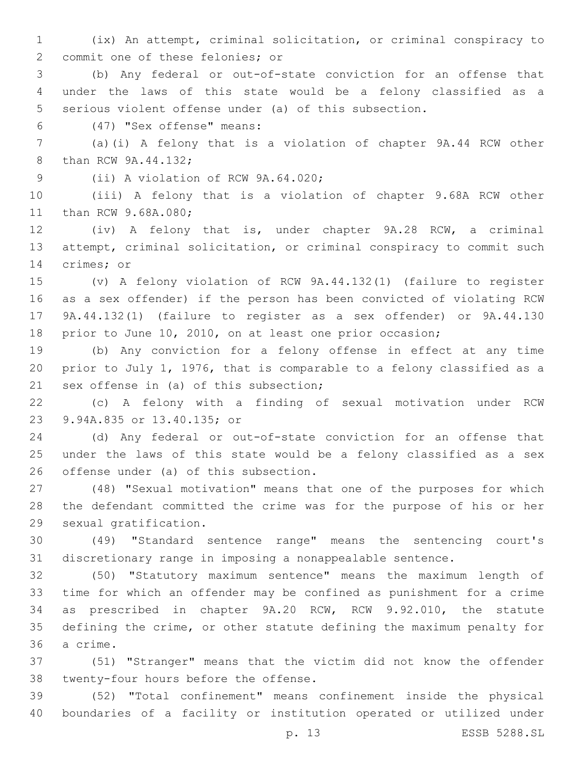(ix) An attempt, criminal solicitation, or criminal conspiracy to 2 commit one of these felonies; or

 (b) Any federal or out-of-state conviction for an offense that under the laws of this state would be a felony classified as a serious violent offense under (a) of this subsection.

(47) "Sex offense" means:6

 (a)(i) A felony that is a violation of chapter 9A.44 RCW other 8 than RCW 9A.44.132;

9 (ii) A violation of RCW 9A.64.020;

 (iii) A felony that is a violation of chapter 9.68A RCW other 11 than RCW 9.68A.080;

 (iv) A felony that is, under chapter 9A.28 RCW, a criminal attempt, criminal solicitation, or criminal conspiracy to commit such 14 crimes; or

 (v) A felony violation of RCW 9A.44.132(1) (failure to register as a sex offender) if the person has been convicted of violating RCW 9A.44.132(1) (failure to register as a sex offender) or 9A.44.130 prior to June 10, 2010, on at least one prior occasion;

 (b) Any conviction for a felony offense in effect at any time prior to July 1, 1976, that is comparable to a felony classified as a 21 sex offense in (a) of this subsection;

 (c) A felony with a finding of sexual motivation under RCW 9.94A.835 or 13.40.135; or23

 (d) Any federal or out-of-state conviction for an offense that under the laws of this state would be a felony classified as a sex 26 offense under (a) of this subsection.

 (48) "Sexual motivation" means that one of the purposes for which the defendant committed the crime was for the purpose of his or her 29 sexual gratification.

 (49) "Standard sentence range" means the sentencing court's discretionary range in imposing a nonappealable sentence.

 (50) "Statutory maximum sentence" means the maximum length of time for which an offender may be confined as punishment for a crime as prescribed in chapter 9A.20 RCW, RCW 9.92.010, the statute defining the crime, or other statute defining the maximum penalty for 36 a crime.

 (51) "Stranger" means that the victim did not know the offender 38 twenty-four hours before the offense.

 (52) "Total confinement" means confinement inside the physical boundaries of a facility or institution operated or utilized under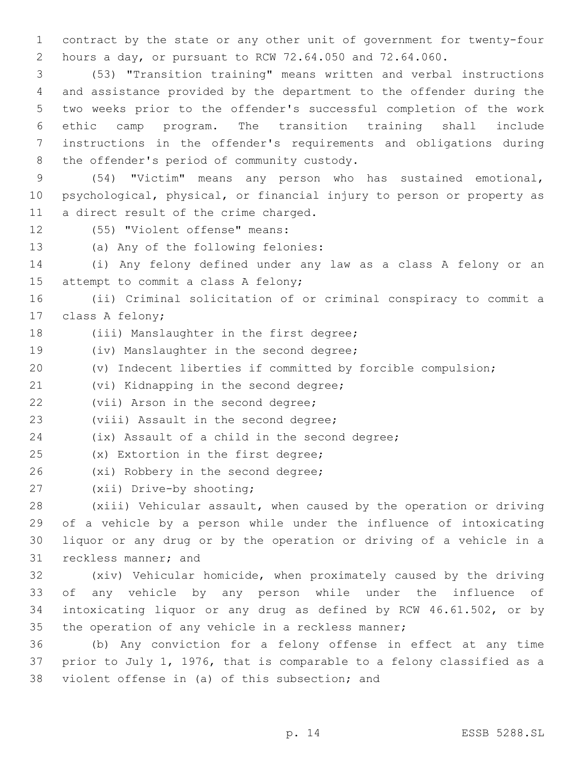1 contract by the state or any other unit of government for twenty-four 2 hours a day, or pursuant to RCW 72.64.050 and 72.64.060.

 (53) "Transition training" means written and verbal instructions and assistance provided by the department to the offender during the two weeks prior to the offender's successful completion of the work ethic camp program. The transition training shall include instructions in the offender's requirements and obligations during 8 the offender's period of community custody.

9 (54) "Victim" means any person who has sustained emotional, 10 psychological, physical, or financial injury to person or property as 11 a direct result of the crime charged.

12 (55) "Violent offense" means:

13 (a) Any of the following felonies:

14 (i) Any felony defined under any law as a class A felony or an 15 attempt to commit a class A felony;

16 (ii) Criminal solicitation of or criminal conspiracy to commit a 17 class A felony;

- 18 (iii) Manslaughter in the first degree;
- 19 (iv) Manslaughter in the second degree;
- 20 (v) Indecent liberties if committed by forcible compulsion;

21 (vi) Kidnapping in the second degree;

22 (vii) Arson in the second degree;

23 (viii) Assault in the second degree;

24 (ix) Assault of a child in the second degree;

- 25 (x) Extortion in the first degree;
- 26 (xi) Robbery in the second degree;
- 27 (xii) Drive-by shooting;

 (xiii) Vehicular assault, when caused by the operation or driving of a vehicle by a person while under the influence of intoxicating liquor or any drug or by the operation or driving of a vehicle in a 31 reckless manner; and

 (xiv) Vehicular homicide, when proximately caused by the driving of any vehicle by any person while under the influence of intoxicating liquor or any drug as defined by RCW 46.61.502, or by 35 the operation of any vehicle in a reckless manner;

36 (b) Any conviction for a felony offense in effect at any time 37 prior to July 1, 1976, that is comparable to a felony classified as a 38 violent offense in (a) of this subsection; and